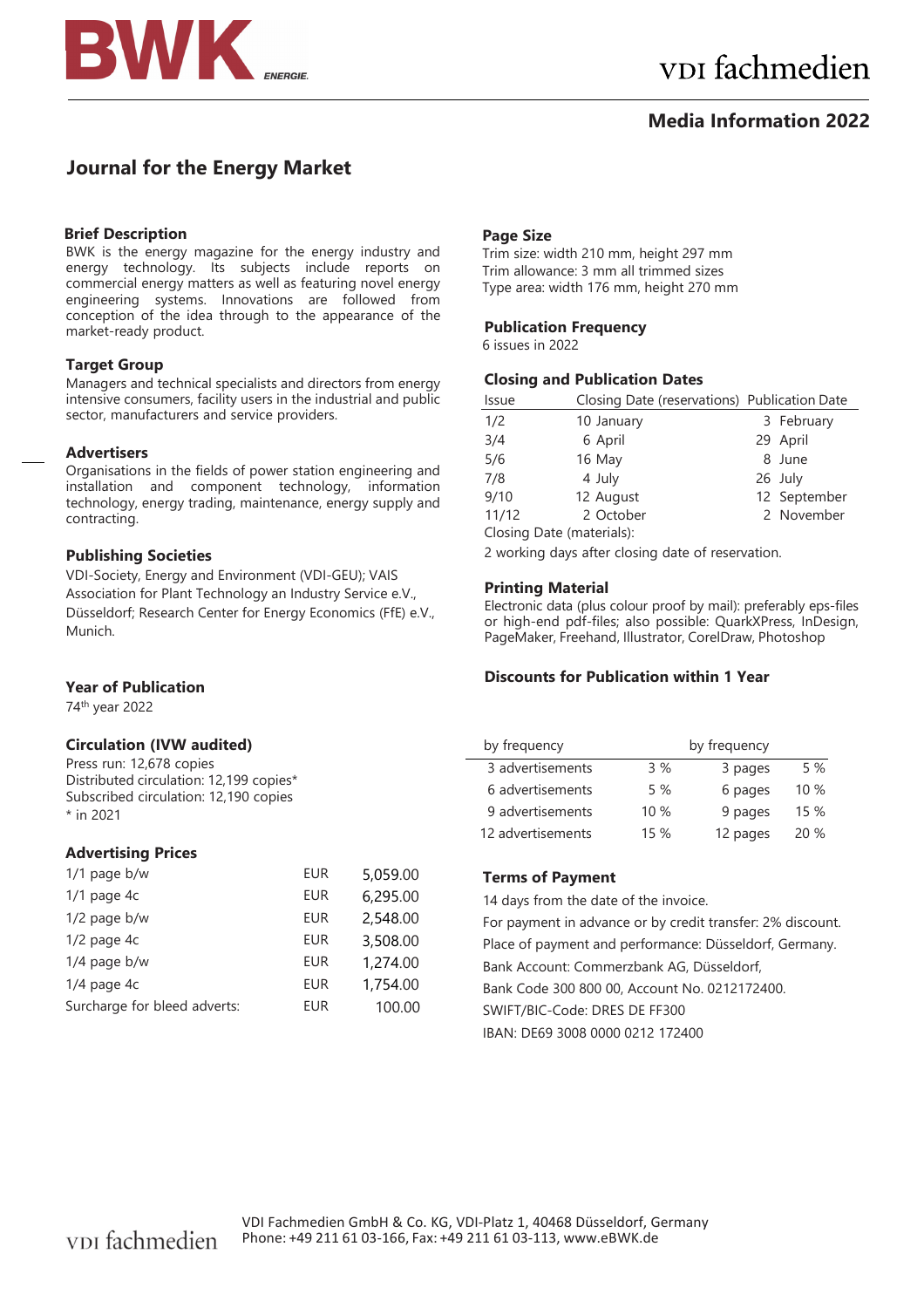

# **Media Information 2022**

# **Journal for the Energy Market**

## **Brief Description**

BWK is the energy magazine for the energy industry and energy technology. Its subjects include reports on commercial energy matters as well as featuring novel energy engineering systems. Innovations are followed from conception of the idea through to the appearance of the market-ready product.

## **Target Group**

Managers and technical specialists and directors from energy intensive consumers, facility users in the industrial and public sector, manufacturers and service providers.

## **Advertisers**

Organisations in the fields of power station engineering and installation and component technology, information technology, energy trading, maintenance, energy supply and contracting.

## **Publishing Societies**

VDI-Society, Energy and Environment (VDI-GEU); VAIS Association for Plant Technology an Industry Service e.V., Düsseldorf; Research Center for Energy Economics (FfE) e.V., Munich.

## **Year of Publication**

74th year 2022

## **Circulation (IVW audited)**

Press run: 12,678 copies Distributed circulation: 12,199 copies\* Subscribed circulation: 12,190 copies \* in 2021

## **Advertising Prices**

| $1/1$ page b/w               | <b>EUR</b> | 5,059.00 |
|------------------------------|------------|----------|
| $1/1$ page 4c                | <b>EUR</b> | 6,295.00 |
| $1/2$ page b/w               | <b>EUR</b> | 2,548.00 |
| $1/2$ page $4c$              | <b>EUR</b> | 3,508.00 |
| $1/4$ page b/w               | <b>EUR</b> | 1,274.00 |
| $1/4$ page $4c$              | <b>EUR</b> | 1,754.00 |
| Surcharge for bleed adverts: | <b>EUR</b> | 100.00   |
|                              |            |          |

### **Page Size**

Trim size: width 210 mm, height 297 mm Trim allowance: 3 mm all trimmed sizes Type area: width 176 mm, height 270 mm

## **Publication Frequency**

6 issues in 2022

#### **Closing and Publication Dates**

| Issue                     | Closing Date (reservations) Publication Date |  |              |
|---------------------------|----------------------------------------------|--|--------------|
| 1/2                       | 10 January                                   |  | 3 February   |
| 3/4                       | 6 April                                      |  | 29 April     |
| 5/6                       | 16 May                                       |  | 8 June       |
| 7/8                       | 4 July                                       |  | 26 July      |
| 9/10                      | 12 August                                    |  | 12 September |
| 11/12                     | 2 October                                    |  | 2 November   |
| Closing Date (materials): |                                              |  |              |

2 working days after closing date of reservation.

## **Printing Material**

Electronic data (plus colour proof by mail): preferably eps-files or high-end pdf-files; also possible: QuarkXPress, InDesign, PageMaker, Freehand, Illustrator, CorelDraw, Photoshop

## **Discounts for Publication within 1 Year**

| by frequency      |     | by frequency |     |
|-------------------|-----|--------------|-----|
| 3 advertisements  | 3%  | 3 pages      | 5%  |
| 6 advertisements  | 5 % | 6 pages      | 10% |
| 9 advertisements  | 10% | 9 pages      | 15% |
| 12 advertisements | 15% | 12 pages     | 20% |

## **Terms of Payment**

14 days from the date of the invoice. For payment in advance or by credit transfer: 2% discount. Place of payment and performance: Düsseldorf, Germany. Bank Account: Commerzbank AG, Düsseldorf, Bank Code 300 800 00, Account No. 0212172400. SWIFT/BIC-Code: DRES DE FF300 IBAN: DE69 3008 0000 0212 172400